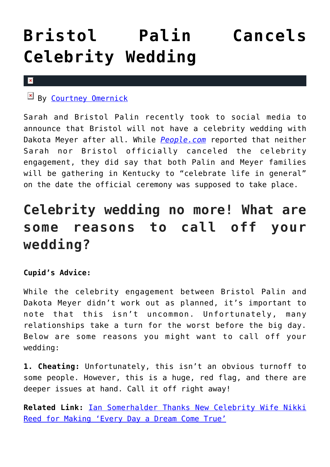## **[Bristol Palin Cancels](https://cupidspulse.com/93091/bristol-palin-cancels-celebrity-wedding/) [Celebrity Wedding](https://cupidspulse.com/93091/bristol-palin-cancels-celebrity-wedding/)**

## $\pmb{\times}$

By [Courtney Omernick](http://cupidspulse.com/105759/courtney-omernick/)

Sarah and Bristol Palin recently took to social media to announce that Bristol will not have a celebrity wedding with Dakota Meyer after all. While *[People.com](http://www.people.com/article/bristol-palin-wedding-dakota-meyer-canceled-sarah-palin)* reported that neither Sarah nor Bristol officially canceled the celebrity engagement, they did say that both Palin and Meyer families will be gathering in Kentucky to "celebrate life in general" on the date the official ceremony was supposed to take place.

## **Celebrity wedding no more! What are some reasons to call off your wedding?**

## **Cupid's Advice:**

While the celebrity engagement between Bristol Palin and Dakota Meyer didn't work out as planned, it's important to note that this isn't uncommon. Unfortunately, many relationships take a turn for the worst before the big day. Below are some reasons you might want to call off your wedding:

**1. Cheating:** Unfortunately, this isn't an obvious turnoff to some people. However, this is a huge, red flag, and there are deeper issues at hand. Call it off right away!

**Related Link:** [Ian Somerhalder Thanks New Celebrity Wife Nikki](http://cupidspulse.com/92940/ian-somerhalder-thanks-new-celebrity-wife-nikki-reed-for-making-every-day-a-dream-come-true/) [Reed for Making 'Every Day a Dream Come True'](http://cupidspulse.com/92940/ian-somerhalder-thanks-new-celebrity-wife-nikki-reed-for-making-every-day-a-dream-come-true/)